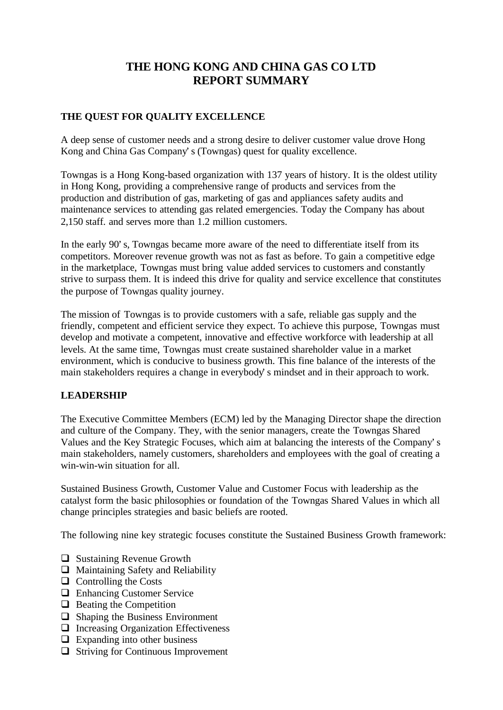# **THE HONG KONG AND CHINA GAS CO LTD REPORT SUMMARY**

## **THE QUEST FOR QUALITY EXCELLENCE**

A deep sense of customer needs and a strong desire to deliver customer value drove Hong Kong and China Gas Company's (Towngas) quest for quality excellence.

Towngas is a Hong Kong-based organization with 137 years of history. It is the oldest utility in Hong Kong, providing a comprehensive range of products and services from the production and distribution of gas, marketing of gas and appliances safety audits and maintenance services to attending gas related emergencies. Today the Company has about 2,150 staff. and serves more than 1.2 million customers.

In the early 90's, Towngas became more aware of the need to differentiate itself from its competitors. Moreover revenue growth was not as fast as before. To gain a competitive edge in the marketplace, Towngas must bring value added services to customers and constantly strive to surpass them. It is indeed this drive for quality and service excellence that constitutes the purpose of Towngas quality journey.

The mission of Towngas is to provide customers with a safe, reliable gas supply and the friendly, competent and efficient service they expect. To achieve this purpose, Towngas must develop and motivate a competent, innovative and effective workforce with leadership at all levels. At the same time, Towngas must create sustained shareholder value in a market environment, which is conducive to business growth. This fine balance of the interests of the main stakeholders requires a change in everybody's mindset and in their approach to work.

## **LEADERSHIP**

The Executive Committee Members (ECM) led by the Managing Director shape the direction and culture of the Company. They, with the senior managers, create the Towngas Shared Values and the Key Strategic Focuses, which aim at balancing the interests of the Company's main stakeholders, namely customers, shareholders and employees with the goal of creating a win-win-win situation for all.

Sustained Business Growth, Customer Value and Customer Focus with leadership as the catalyst form the basic philosophies or foundation of the Towngas Shared Values in which all change principles strategies and basic beliefs are rooted.

The following nine key strategic focuses constitute the Sustained Business Growth framework:

- $\Box$  Sustaining Revenue Growth
- $\Box$  Maintaining Safety and Reliability
- $\Box$  Controlling the Costs
- $\Box$  Enhancing Customer Service
- $\Box$  Beating the Competition
- $\Box$  Shaping the Business Environment
- $\Box$  Increasing Organization Effectiveness
- $\Box$  Expanding into other business
- $\Box$  Striving for Continuous Improvement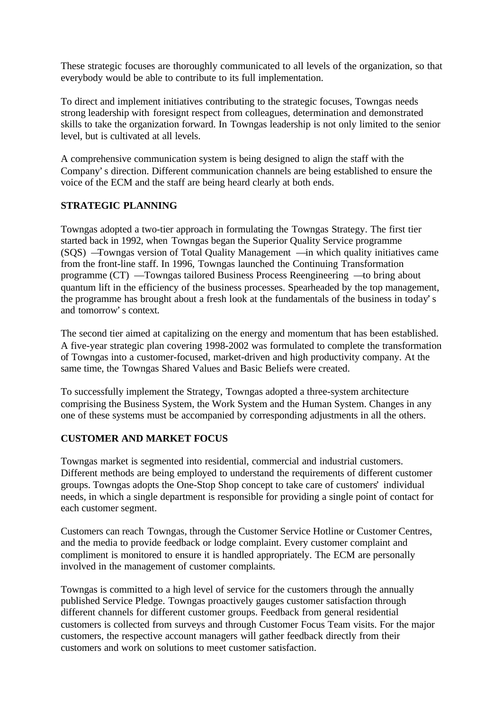These strategic focuses are thoroughly communicated to all levels of the organization, so that everybody would be able to contribute to its full implementation.

To direct and implement initiatives contributing to the strategic focuses, Towngas needs strong leadership with foresignt respect from colleagues, determination and demonstrated skills to take the organization forward. In Towngas leadership is not only limited to the senior level, but is cultivated at all levels.

A comprehensive communication system is being designed to align the staff with the Company's direction. Different communication channels are being established to ensure the voice of the ECM and the staff are being heard clearly at both ends.

## **STRATEGIC PLANNING**

Towngas adopted a two-tier approach in formulating the Towngas Strategy. The first tier started back in 1992, when Towngas began the Superior Quality Service programme (SQS) —Towngas version of Total Quality Management — in which quality initiatives came from the front-line staff. In 1996, Towngas launched the Continuing Transformation programme (CT) — Towngas tailored Business Process Reengineering — to bring about quantum lift in the efficiency of the business processes. Spearheaded by the top management, the programme has brought about a fresh look at the fundamentals of the business in today's and tomorrow's context.

The second tier aimed at capitalizing on the energy and momentum that has been established. A five-year strategic plan covering 1998-2002 was formulated to complete the transformation of Towngas into a customer-focused, market-driven and high productivity company. At the same time, the Towngas Shared Values and Basic Beliefs were created.

To successfully implement the Strategy, Towngas adopted a three-system architecture comprising the Business System, the Work System and the Human System. Changes in any one of these systems must be accompanied by corresponding adjustments in all the others.

## **CUSTOMER AND MARKET FOCUS**

Towngas market is segmented into residential, commercial and industrial customers. Different methods are being employed to understand the requirements of different customer groups. Towngas adopts the One-Stop Shop concept to take care of customers' individual needs, in which a single department is responsible for providing a single point of contact for each customer segment.

Customers can reach Towngas, through the Customer Service Hotline or Customer Centres, and the media to provide feedback or lodge complaint. Every customer complaint and compliment is monitored to ensure it is handled appropriately. The ECM are personally involved in the management of customer complaints.

Towngas is committed to a high level of service for the customers through the annually published Service Pledge. Towngas proactively gauges customer satisfaction through different channels for different customer groups. Feedback from general residential customers is collected from surveys and through Customer Focus Team visits. For the major customers, the respective account managers will gather feedback directly from their customers and work on solutions to meet customer satisfaction.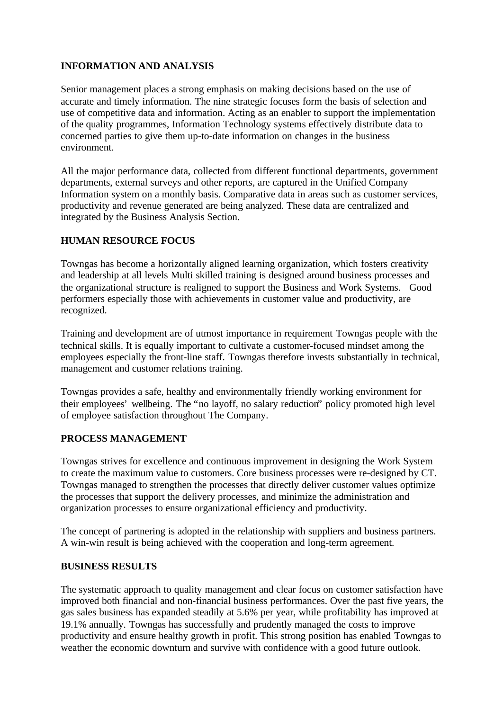#### **INFORMATION AND ANALYSIS**

Senior management places a strong emphasis on making decisions based on the use of accurate and timely information. The nine strategic focuses form the basis of selection and use of competitive data and information. Acting as an enabler to support the implementation of the quality programmes, Information Technology systems effectively distribute data to concerned parties to give them up-to-date information on changes in the business environment.

All the major performance data, collected from different functional departments, government departments, external surveys and other reports, are captured in the Unified Company Information system on a monthly basis. Comparative data in areas such as customer services, productivity and revenue generated are being analyzed. These data are centralized and integrated by the Business Analysis Section.

## **HUMAN RESOURCE FOCUS**

Towngas has become a horizontally aligned learning organization, which fosters creativity and leadership at all levels Multi skilled training is designed around business processes and the organizational structure is realigned to support the Business and Work Systems. Good performers especially those with achievements in customer value and productivity, are recognized.

Training and development are of utmost importance in requirement Towngas people with the technical skills. It is equally important to cultivate a customer-focused mindset among the employees especially the front-line staff. Towngas therefore invests substantially in technical, management and customer relations training.

Towngas provides a safe, healthy and environmentally friendly working environment for their employees' wellbeing. The "no layoff, no salary reduction" policy promoted high level of employee satisfaction throughout The Company.

## **PROCESS MANAGEMENT**

Towngas strives for excellence and continuous improvement in designing the Work System to create the maximum value to customers. Core business processes were re-designed by CT. Towngas managed to strengthen the processes that directly deliver customer values optimize the processes that support the delivery processes, and minimize the administration and organization processes to ensure organizational efficiency and productivity.

The concept of partnering is adopted in the relationship with suppliers and business partners. A win-win result is being achieved with the cooperation and long-term agreement.

#### **BUSINESS RESULTS**

The systematic approach to quality management and clear focus on customer satisfaction have improved both financial and non-financial business performances. Over the past five years, the gas sales business has expanded steadily at 5.6% per year, while profitability has improved at 19.1% annually. Towngas has successfully and prudently managed the costs to improve productivity and ensure healthy growth in profit. This strong position has enabled Towngas to weather the economic downturn and survive with confidence with a good future outlook.